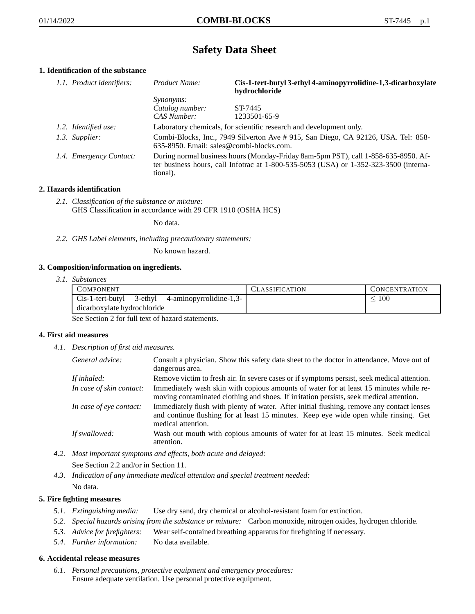# **Safety Data Sheet**

## **1. Identification of the substance**

| 1.1. Product identifiers: | Product Name:                                                                                                                                                                           | Cis-1-tert-butyl 3-ethyl 4-aminopyrrolidine-1,3-dicarboxylate<br>hydrochloride |
|---------------------------|-----------------------------------------------------------------------------------------------------------------------------------------------------------------------------------------|--------------------------------------------------------------------------------|
|                           | <i>Synonyms:</i>                                                                                                                                                                        |                                                                                |
|                           | Catalog number:                                                                                                                                                                         | ST-7445                                                                        |
|                           | CAS Number:                                                                                                                                                                             | 1233501-65-9                                                                   |
| 1.2. Identified use:      | Laboratory chemicals, for scientific research and development only.                                                                                                                     |                                                                                |
| 1.3. Supplier:            | Combi-Blocks, Inc., 7949 Silverton Ave #915, San Diego, CA 92126, USA. Tel: 858-<br>635-8950. Email: sales@combi-blocks.com.                                                            |                                                                                |
| 1.4. Emergency Contact:   | During normal business hours (Monday-Friday 8am-5pm PST), call 1-858-635-8950. Af-<br>ter business hours, call Infotrac at 1-800-535-5053 (USA) or 1-352-323-3500 (interna-<br>tional). |                                                                                |

## **2. Hazards identification**

*2.1. Classification of the substance or mixture:* GHS Classification in accordance with 29 CFR 1910 (OSHA HCS)

No data.

*2.2. GHS Label elements, including precautionary statements:*

No known hazard.

## **3. Composition/information on ingredients.**

*3.1. Substances*

| <b>COMPONENT</b>                                    | CLASSIFICATION | <b>CONCENTRATION</b> |
|-----------------------------------------------------|----------------|----------------------|
| $Cis-1$ -tert-butyl 3-ethyl 4-aminopyrrolidine-1,3- |                | 100                  |
| dicarboxylate hydrochloride                         |                |                      |

See Section 2 for full text of hazard statements.

#### **4. First aid measures**

*4.1. Description of first aid measures.*

| General advice:          | Consult a physician. Show this safety data sheet to the doctor in attendance. Move out of<br>dangerous area.                                                                                            |
|--------------------------|---------------------------------------------------------------------------------------------------------------------------------------------------------------------------------------------------------|
| If inhaled:              | Remove victim to fresh air. In severe cases or if symptoms persist, seek medical attention.                                                                                                             |
| In case of skin contact: | Immediately wash skin with copious amounts of water for at least 15 minutes while re-<br>moving contaminated clothing and shoes. If irritation persists, seek medical attention.                        |
| In case of eye contact:  | Immediately flush with plenty of water. After initial flushing, remove any contact lenses<br>and continue flushing for at least 15 minutes. Keep eye wide open while rinsing. Get<br>medical attention. |
| If swallowed:            | Wash out mouth with copious amounts of water for at least 15 minutes. Seek medical<br>attention.                                                                                                        |

- *4.2. Most important symptoms and effects, both acute and delayed:* See Section 2.2 and/or in Section 11.
- *4.3. Indication of any immediate medical attention and special treatment needed:* No data.

#### **5. Fire fighting measures**

- *5.1. Extinguishing media:* Use dry sand, dry chemical or alcohol-resistant foam for extinction.
- *5.2. Special hazards arising from the substance or mixture:* Carbon monoxide, nitrogen oxides, hydrogen chloride.
- *5.3. Advice for firefighters:* Wear self-contained breathing apparatus for firefighting if necessary.
- *5.4. Further information:* No data available.

#### **6. Accidental release measures**

*6.1. Personal precautions, protective equipment and emergency procedures:* Ensure adequate ventilation. Use personal protective equipment.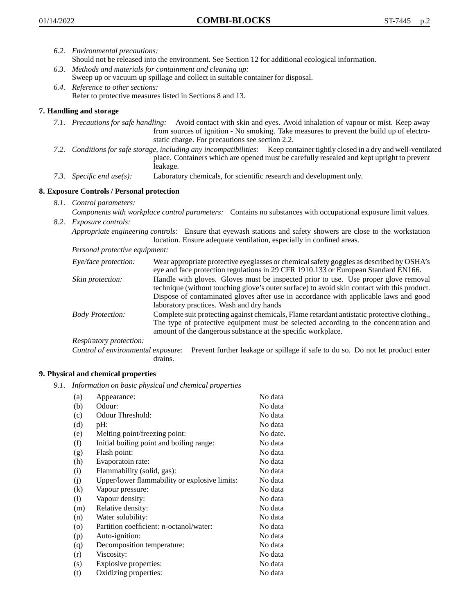- *6.2. Environmental precautions:* Should not be released into the environment. See Section 12 for additional ecological information.
- *6.3. Methods and materials for containment and cleaning up:* Sweep up or vacuum up spillage and collect in suitable container for disposal.
- *6.4. Reference to other sections:* Refer to protective measures listed in Sections 8 and 13.

## **7. Handling and storage**

- *7.1. Precautions for safe handling:* Avoid contact with skin and eyes. Avoid inhalation of vapour or mist. Keep away from sources of ignition - No smoking. Take measures to prevent the build up of electrostatic charge. For precautions see section 2.2.
- *7.2. Conditions for safe storage, including any incompatibilities:* Keep container tightly closed in a dry and well-ventilated place. Containers which are opened must be carefully resealed and kept upright to prevent leakage.
- *7.3. Specific end use(s):* Laboratory chemicals, for scientific research and development only.

## **8. Exposure Controls / Personal protection**

- *8.1. Control parameters:*
- *Components with workplace control parameters:* Contains no substances with occupational exposure limit values. *8.2. Exposure controls:*

*Appropriate engineering controls:* Ensure that eyewash stations and safety showers are close to the workstation location. Ensure adequate ventilation, especially in confined areas.

*Personal protective equipment:*

| Eye/face protection:    | Wear appropriate protective eyeglasses or chemical safety goggles as described by OSHA's<br>eye and face protection regulations in 29 CFR 1910.133 or European Standard EN166.                                                                                                                                         |
|-------------------------|------------------------------------------------------------------------------------------------------------------------------------------------------------------------------------------------------------------------------------------------------------------------------------------------------------------------|
| Skin protection:        | Handle with gloves. Gloves must be inspected prior to use. Use proper glove removal<br>technique (without touching glove's outer surface) to avoid skin contact with this product.<br>Dispose of contaminated gloves after use in accordance with applicable laws and good<br>laboratory practices. Wash and dry hands |
| <b>Body Protection:</b> | Complete suit protecting against chemicals, Flame retardant antistatic protective clothing.,<br>The type of protective equipment must be selected according to the concentration and<br>amount of the dangerous substance at the specific workplace.                                                                   |
| Respiratory protection: |                                                                                                                                                                                                                                                                                                                        |

Control of environmental exposure: Prevent further leakage or spillage if safe to do so. Do not let product enter drains.

#### **9. Physical and chemical properties**

*9.1. Information on basic physical and chemical properties*

| (a)                        | Appearance:                                   | No data  |
|----------------------------|-----------------------------------------------|----------|
| (b)                        | Odour:                                        | No data  |
| (c)                        | Odour Threshold:                              | No data  |
| (d)                        | pH:                                           | No data  |
| (e)                        | Melting point/freezing point:                 | No date. |
| (f)                        | Initial boiling point and boiling range:      | No data  |
| (g)                        | Flash point:                                  | No data  |
| (h)                        | Evaporatoin rate:                             | No data  |
| (i)                        | Flammability (solid, gas):                    | No data  |
| (j)                        | Upper/lower flammability or explosive limits: | No data  |
| (k)                        | Vapour pressure:                              | No data  |
| $\left( \mathrm{l}\right)$ | Vapour density:                               | No data  |
| (m)                        | Relative density:                             | No data  |
| (n)                        | Water solubility:                             | No data  |
| $\circ$                    | Partition coefficient: n-octanol/water:       | No data  |
| (p)                        | Auto-ignition:                                | No data  |
| (q)                        | Decomposition temperature:                    | No data  |
| (r)                        | Viscosity:                                    | No data  |
| (s)                        | Explosive properties:                         | No data  |
| (t)                        | Oxidizing properties:                         | No data  |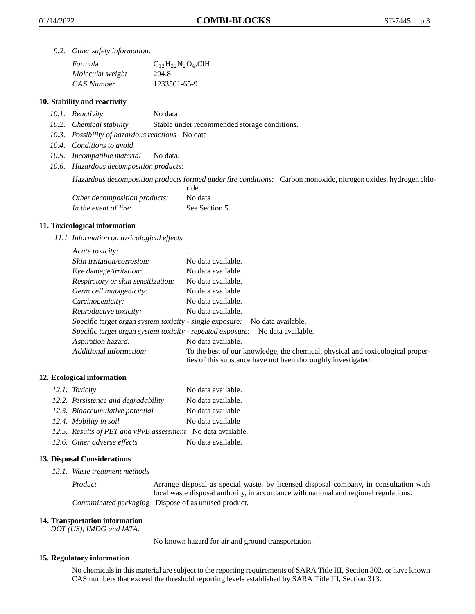*9.2. Other safety information:*

| Formula          | $C_{12}H_{22}N_2O_4$ .ClH |
|------------------|---------------------------|
| Molecular weight | 294.8                     |
| CAS Number       | 1233501-65-9              |

## **10. Stability and reactivity**

- *10.1. Reactivity* No data
- *10.2. Chemical stability* Stable under recommended storage conditions.
- *10.3. Possibility of hazardous reactions* No data
- *10.4. Conditions to avoid*
- *10.5. Incompatible material* No data.
- *10.6. Hazardous decomposition products:*

Hazardous decomposition products formed under fire conditions: Carbon monoxide, nitrogen oxides, hydrogen chlo-

|                               | ride.          |
|-------------------------------|----------------|
| Other decomposition products: | No data        |
| In the event of fire:         | See Section 5. |

#### **11. Toxicological information**

*11.1 Information on toxicological effects*

| Acute toxicity:                                            |                                                                                                                                                 |
|------------------------------------------------------------|-------------------------------------------------------------------------------------------------------------------------------------------------|
| Skin irritation/corrosion:                                 | No data available.                                                                                                                              |
| Eye damage/irritation:                                     | No data available.                                                                                                                              |
| Respiratory or skin sensitization:                         | No data available.                                                                                                                              |
| Germ cell mutagenicity:                                    | No data available.                                                                                                                              |
| Carcinogenicity:                                           | No data available.                                                                                                                              |
| Reproductive toxicity:                                     | No data available.                                                                                                                              |
| Specific target organ system toxicity - single exposure:   | No data available.                                                                                                                              |
| Specific target organ system toxicity - repeated exposure: | No data available.                                                                                                                              |
| Aspiration hazard:                                         | No data available.                                                                                                                              |
| Additional information:                                    | To the best of our knowledge, the chemical, physical and toxicological proper-<br>ties of this substance have not been thoroughly investigated. |

#### **12. Ecological information**

| 12.1. Toxicity                                              | No data available. |
|-------------------------------------------------------------|--------------------|
| 12.2. Persistence and degradability                         | No data available. |
| 12.3. Bioaccumulative potential                             | No data available  |
| 12.4. Mobility in soil                                      | No data available  |
| 12.5. Results of PBT and vPvB assessment No data available. |                    |
| 12.6. Other adverse effects                                 | No data available. |

#### **13. Disposal Considerations**

*13.1. Waste treatment methods*

Product Arrange disposal as special waste, by licensed disposal company, in consultation with local waste disposal authority, in accordance with national and regional regulations. Contaminated packaging Dispose of as unused product.

#### **14. Transportation information**

*DOT (US), IMDG and IATA:*

No known hazard for air and ground transportation.

#### **15. Regulatory information**

No chemicals in this material are subject to the reporting requirements of SARA Title III, Section 302, or have known CAS numbers that exceed the threshold reporting levels established by SARA Title III, Section 313.